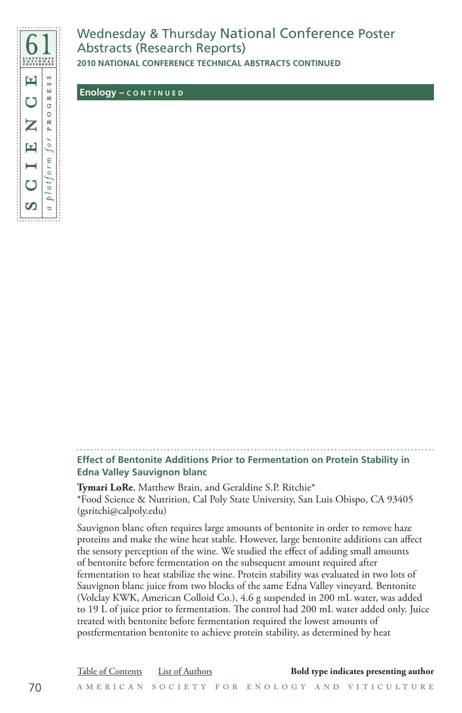

## Wednesday & Thursday National Conference Poster Abstracts (Research Reports)

**2010 NATIONAL CONFERENCE TECHNICAL ABSTRACTS CONTINUED**

 **Enology – C O N T I N U E D**

**Effect of Bentonite Additions Prior to Fermentation on Protein Stability in Edna Valley Sauvignon blanc**

**Tymari LoRe**, Matthew Brain, and Geraldine S.P. Ritchie\* \*Food Science & Nutrition, Cal Poly State University, San Luis Obispo, CA 93405 (gsritchi@calpoly.edu)

Sauvignon blanc often requires large amounts of bentonite in order to remove haze proteins and make the wine heat stable. However, large bentonite additions can affect the sensory perception of the wine. We studied the effect of adding small amounts of bentonite before fermentation on the subsequent amount required after fermentation to heat stabilize the wine. Protein stability was evaluated in two lots of Sauvignon blanc juice from two blocks of the same Edna Valley vineyard. Bentonite (Volclay KWK, American Colloid Co.), 4.6 g suspended in 200 mL water, was added to 19 L of juice prior to fermentation. The control had 200 mL water added only. Juice treated with bentonite before fermentation required the lowest amounts of postfermentation bentonite to achieve protein stability, as determined by heat